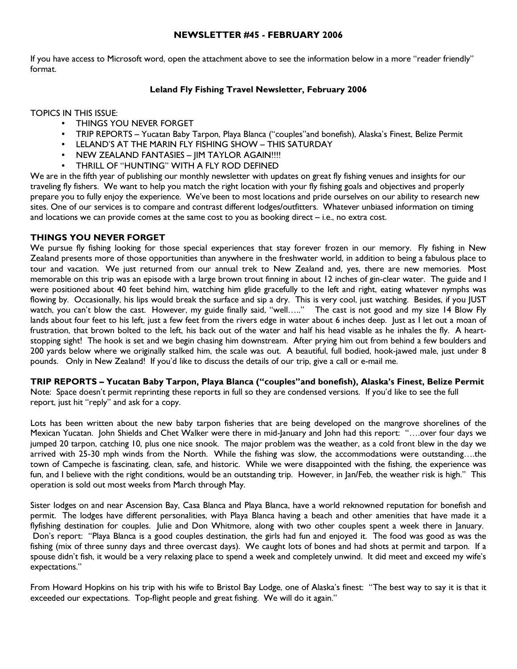# NEWSLETTER #45 - FEBRUARY 2006

If you have access to Microsoft word, open the attachment above to see the information below in a more "reader friendly" format.

# Leland Fly Fishing Travel Newsletter, February 2006

TOPICS IN THIS ISSUE:

- THINGS YOU NEVER FORGET
- TRIP REPORTS Yucatan Baby Tarpon, Playa Blanca ("couples"and bonefish), Alaska's Finest, Belize Permit
- LELAND'S AT THE MARIN FLY FISHING SHOW THIS SATURDAY
- NEW ZEALAND FANTASIES IIM TAYLOR AGAIN!!!!
- THRILL OF "HUNTING" WITH A FLY ROD DEFINED

We are in the fifth year of publishing our monthly newsletter with updates on great fly fishing venues and insights for our traveling fly fishers. We want to help you match the right location with your fly fishing goals and objectives and properly prepare you to fully enjoy the experience. We've been to most locations and pride ourselves on our ability to research new sites. One of our services is to compare and contrast different lodges/outfitters. Whatever unbiased information on timing and locations we can provide comes at the same cost to you as booking direct – i.e., no extra cost.

#### THINGS YOU NEVER FORGET

We pursue fly fishing looking for those special experiences that stay forever frozen in our memory. Fly fishing in New Zealand presents more of those opportunities than anywhere in the freshwater world, in addition to being a fabulous place to tour and vacation. We just returned from our annual trek to New Zealand and, yes, there are new memories. Most memorable on this trip was an episode with a large brown trout finning in about 12 inches of gin-clear water. The guide and I were positioned about 40 feet behind him, watching him glide gracefully to the left and right, eating whatever nymphs was flowing by. Occasionally, his lips would break the surface and sip a dry. This is very cool, just watching. Besides, if you JUST watch, you can't blow the cast. However, my guide finally said, "well….." The cast is not good and my size 14 Blow Fly lands about four feet to his left, just a few feet from the rivers edge in water about 6 inches deep. Just as I let out a moan of frustration, that brown bolted to the left, his back out of the water and half his head visable as he inhales the fly. A heartstopping sight! The hook is set and we begin chasing him downstream. After prying him out from behind a few boulders and 200 yards below where we originally stalked him, the scale was out. A beautiful, full bodied, hook-jawed male, just under 8 pounds. Only in New Zealand! If you'd like to discuss the details of our trip, give a call or e-mail me.

TRIP REPORTS – Yucatan Baby Tarpon, Playa Blanca ("couples"and bonefish), Alaska's Finest, Belize Permit

Note: Space doesn't permit reprinting these reports in full so they are condensed versions. If you'd like to see the full report, just hit "reply" and ask for a copy.

Lots has been written about the new baby tarpon fisheries that are being developed on the mangrove shorelines of the Mexican Yucatan. John Shields and Chet Walker were there in mid-January and John had this report: "….over four days we jumped 20 tarpon, catching 10, plus one nice snook. The major problem was the weather, as a cold front blew in the day we arrived with 25-30 mph winds from the North. While the fishing was slow, the accommodations were outstanding….the town of Campeche is fascinating, clean, safe, and historic. While we were disappointed with the fishing, the experience was fun, and I believe with the right conditions, would be an outstanding trip. However, in Jan/Feb, the weather risk is high." This operation is sold out most weeks from March through May.

Sister lodges on and near Ascension Bay, Casa Blanca and Playa Blanca, have a world reknowned reputation for bonefish and permit. The lodges have different personalities, with Playa Blanca having a beach and other amenities that have made it a flyfishing destination for couples. Julie and Don Whitmore, along with two other couples spent a week there in January. Don's report: "Playa Blanca is a good couples destination, the girls had fun and enjoyed it. The food was good as was the fishing (mix of three sunny days and three overcast days). We caught lots of bones and had shots at permit and tarpon. If a spouse didn't fish, it would be a very relaxing place to spend a week and completely unwind. It did meet and exceed my wife's expectations."

From Howard Hopkins on his trip with his wife to Bristol Bay Lodge, one of Alaska's finest: "The best way to say it is that it exceeded our expectations. Top-flight people and great fishing. We will do it again."